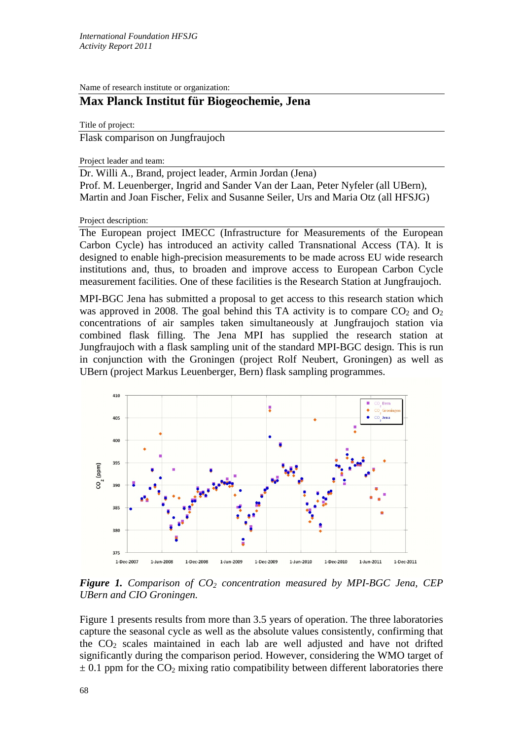Name of research institute or organization:

## **Max Planck Institut für Biogeochemie, Jena**

Title of project: Flask comparison on Jungfraujoch

Project leader and team:

Dr. Willi A., Brand, project leader, Armin Jordan (Jena) Prof. M. Leuenberger, Ingrid and Sander Van der Laan, Peter Nyfeler (all UBern), Martin and Joan Fischer, Felix and Susanne Seiler, Urs and Maria Otz (all HFSJG)

Project description:

The European project IMECC (Infrastructure for Measurements of the European Carbon Cycle) has introduced an activity called Transnational Access (TA). It is designed to enable high-precision measurements to be made across EU wide research institutions and, thus, to broaden and improve access to European Carbon Cycle measurement facilities. One of these facilities is the Research Station at Jungfraujoch.

MPI-BGC Jena has submitted a proposal to get access to this research station which was approved in 2008. The goal behind this TA activity is to compare  $CO<sub>2</sub>$  and  $O<sub>2</sub>$ concentrations of air samples taken simultaneously at Jungfraujoch station via combined flask filling. The Jena MPI has supplied the research station at Jungfraujoch with a flask sampling unit of the standard MPI-BGC design. This is run in conjunction with the Groningen (project Rolf Neubert, Groningen) as well as UBern (project Markus Leuenberger, Bern) flask sampling programmes.



**Figure 1.** Comparison of CO<sub>2</sub> concentration measured by MPI-BGC Jena, CEP *UBern and CIO Groningen.* 

Figure 1 presents results from more than 3.5 years of operation. The three laboratories capture the seasonal cycle as well as the absolute values consistently, confirming that the  $CO<sub>2</sub>$  scales maintained in each lab are well adjusted and have not drifted significantly during the comparison period. However, considering the WMO target of  $\pm$  0.1 ppm for the CO<sub>2</sub> mixing ratio compatibility between different laboratories there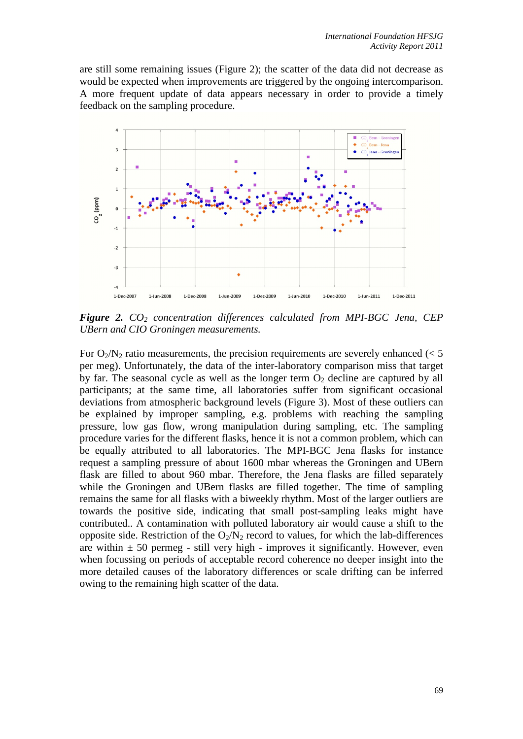are still some remaining issues (Figure 2); the scatter of the data did not decrease as would be expected when improvements are triggered by the ongoing intercomparison. A more frequent update of data appears necessary in order to provide a timely feedback on the sampling procedure.



*Figure 2. CO2 concentration differences calculated from MPI-BGC Jena, CEP UBern and CIO Groningen measurements.* 

For  $O_2/N_2$  ratio measurements, the precision requirements are severely enhanced ( $\lt 5$ ) per meg). Unfortunately, the data of the inter-laboratory comparison miss that target by far. The seasonal cycle as well as the longer term  $O_2$  decline are captured by all participants; at the same time, all laboratories suffer from significant occasional deviations from atmospheric background levels (Figure 3). Most of these outliers can be explained by improper sampling, e.g. problems with reaching the sampling pressure, low gas flow, wrong manipulation during sampling, etc. The sampling procedure varies for the different flasks, hence it is not a common problem, which can be equally attributed to all laboratories. The MPI-BGC Jena flasks for instance request a sampling pressure of about 1600 mbar whereas the Groningen and UBern flask are filled to about 960 mbar. Therefore, the Jena flasks are filled separately while the Groningen and UBern flasks are filled together. The time of sampling remains the same for all flasks with a biweekly rhythm. Most of the larger outliers are towards the positive side, indicating that small post-sampling leaks might have contributed.. A contamination with polluted laboratory air would cause a shift to the opposite side. Restriction of the  $O_2/N_2$  record to values, for which the lab-differences are within  $\pm$  50 permeg - still very high - improves it significantly. However, even when focussing on periods of acceptable record coherence no deeper insight into the more detailed causes of the laboratory differences or scale drifting can be inferred owing to the remaining high scatter of the data.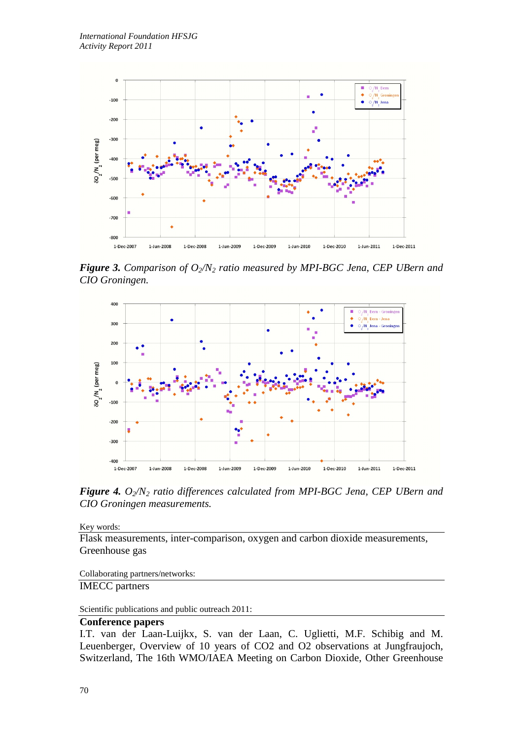

*Figure 3. Comparison of O<sub>2</sub>/N<sub>2</sub> ratio measured by MPI-BGC Jena, CEP UBern and CIO Groningen.* 



*Figure 4.*  $O_2/N_2$  *ratio differences calculated from MPI-BGC Jena, CEP UBern and CIO Groningen measurements.*

Key words:

Flask measurements, inter-comparison, oxygen and carbon dioxide measurements, Greenhouse gas

Collaborating partners/networks:

IMECC partners

Scientific publications and public outreach 2011:

## **Conference papers**

I.T. van der Laan-Luijkx, S. van der Laan, C. Uglietti, M.F. Schibig and M. Leuenberger, Overview of 10 years of CO2 and O2 observations at Jungfraujoch, Switzerland, The 16th WMO/IAEA Meeting on Carbon Dioxide, Other Greenhouse